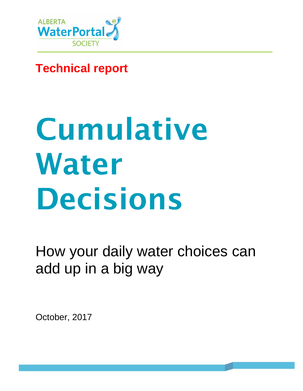

## **Technical report**

# Cumulative Water Decisions

How your daily water choices can add up in a big way

October, 2017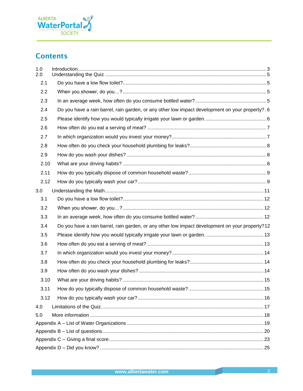

## **Contents**

| 1.0<br>2.0 |                                                                                                  |  |
|------------|--------------------------------------------------------------------------------------------------|--|
| 2.1        |                                                                                                  |  |
| 2.2        |                                                                                                  |  |
| 2.3        |                                                                                                  |  |
| 2.4        | Do you have a rain barrel, rain garden, or any other low impact development on your property?. 6 |  |
| 2.5        |                                                                                                  |  |
| 2.6        |                                                                                                  |  |
| 2.7        |                                                                                                  |  |
| 2.8        |                                                                                                  |  |
| 2.9        |                                                                                                  |  |
| 2.10       |                                                                                                  |  |
| 2.11       |                                                                                                  |  |
| 2.12       |                                                                                                  |  |
| 3.0        |                                                                                                  |  |
| 3.1        |                                                                                                  |  |
| 3.2        |                                                                                                  |  |
| 3.3        |                                                                                                  |  |
| 3.4        | Do you have a rain barrel, rain garden, or any other low impact development on your property?12  |  |
| 3.5        |                                                                                                  |  |
| 3.6        |                                                                                                  |  |
| 3.7        |                                                                                                  |  |
| 3.8        |                                                                                                  |  |
| 3.9        |                                                                                                  |  |
| 3.10       |                                                                                                  |  |
| 3.11       |                                                                                                  |  |
| 3.12       |                                                                                                  |  |
| 4.0        |                                                                                                  |  |
| 5.0        |                                                                                                  |  |
|            |                                                                                                  |  |
|            |                                                                                                  |  |
|            |                                                                                                  |  |
|            |                                                                                                  |  |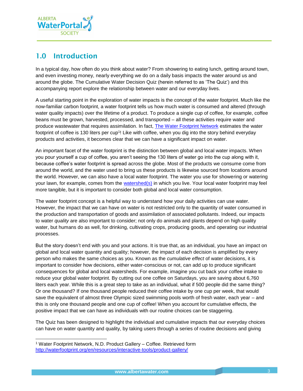

## <span id="page-2-0"></span>1.0 Introduction

In a typical day, how often do you think about water? From showering to eating lunch, getting around town, and even investing money, nearly everything we do on a daily basis impacts the water around us and around the globe. The Cumulative Water Decision Quiz (herein referred to as 'The Quiz') and this accompanying report explore the relationship between water and our everyday lives.

A useful starting point in the exploration of water impacts is the concept of the water footprint. Much like the now-familiar carbon footprint, a water footprint tells us how much water is consumed and altered (through water quality impacts) over the lifetime of a product. To produce a single cup of coffee, for example, coffee beans must be grown, harvested, processed, and transported – all these activities require water and produce wastewater that requires assimilation. In fact, [The Water Footprint Network](http://waterfootprint.org/en/about-us/) estimates the water footprint of coffee is 130 liters per cup<sup>1</sup>! Like with coffee, when you dig into the story behind everyday products and activities, it becomes clear that we can have a significant impact on water.

An important facet of the water footprint is the distinction between global and local water impacts. When you pour yourself a cup of coffee, you aren't seeing the 130 liters of water go into the cup along with it, because coffee's water footprint is spread across the globe. Most of the products we consume come from around the world, and the water used to bring us these products is likewise sourced from locations around the world. However, we can also have a local water footprint. The water you use for showering or watering your lawn, for example, comes from the [watershed\(s\)](http://albertawater.com/what-s-a-watershed) in which you live. Your local water footprint may feel more tangible, but it is important to consider both global and local water consumption.

The water footprint concept is a helpful way to understand how your daily activities can use water. However, the impact that we can have on water is not restricted only to the quantity of water consumed in the production and transportation of goods and assimilation of associated pollutants. Indeed, our impacts to water *quality* are also important to consider; not only do animals and plants depend on high quality water, but humans do as well, for drinking, cultivating crops, producing goods, and operating our industrial processes.

But the story doesn't end with you and your actions. It is true that, as an individual, you have an impact on global and local water quantity and quality; however, the impact of each decision is amplified by every person who makes the same choices as you. Known as the *cumulative effect* of water decisions, it is important to consider how decisions, either water-conscious or not, can add up to produce significant consequences for global and local watersheds. For example, imagine you cut back your coffee intake to reduce your global water footprint. By cutting out one coffee on Saturdays, you are saving about 6,760 liters each year. While this is a great step to take as an individual, what if 500 people did the same thing? Or one thousand? If one thousand people reduced their coffee intake by one cup per week, that would save the equivalent of almost three Olympic sized swimming pools worth of fresh water, each year – and this is only one thousand people and one cup of coffee! When you account for cumulative effects, the positive impact that we can have as individuals with our routine choices can be staggering.

The Quiz has been designed to highlight the individual and cumulative impacts that our everyday choices can have on water quantity and quality, by taking users through a series of routine decisions and giving

l

<sup>1</sup> Water Footprint Network, N.D. Product Gallery – Coffee. Retrieved form <http://waterfootprint.org/en/resources/interactive-tools/product-gallery/>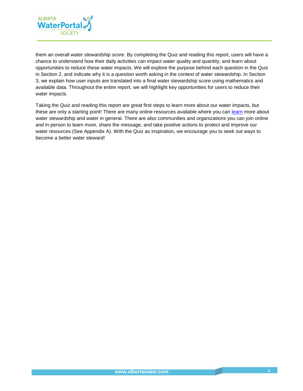

them an overall *water stewardship score*. By completing the Quiz and reading this report, users will have a chance to understand how their daily activities can impact water quality and quantity, and learn about opportunities to reduce these water impacts. We will explore the purpose behind each question in the Quiz in Section 2, and indicate why it is a question worth asking in the context of water stewardship. In Section 3, we explain how user inputs are translated into a final water stewardship score using mathematics and available data. Throughout the entire report, we will highlight key opportunities for users to reduce their water impacts.

Taking the Quiz and reading this report are great first steps to learn more about our water impacts, but these are only a starting point! There are many online resources available where you can [learn](http://albertawater.com/) more about water stewardship and water in general. There are also communities and organizations you can join online and in person to learn more, share the message, and take positive actions to protect and improve our water resources (See Appendix A). With the Quiz as inspiration, we encourage you to seek out ways to become a better water steward!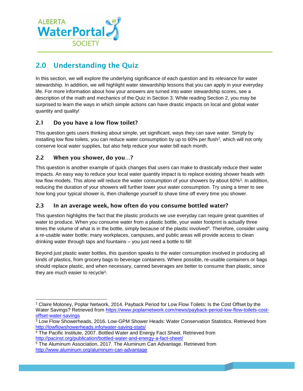

## <span id="page-4-0"></span>2.0 Understanding the Quiz

In this section, we will explore the underlying significance of each question and its relevance for water stewardship. In addition, we will highlight water stewardship lessons that you can apply in your everyday life. For more information about how your answers are turned into water stewardship scores, see a description of the math and mechanics of the Quiz in Section 3. While reading Section 2, you may be surprised to learn the ways in which simple actions can have drastic impacts on local and global water quantity and quality!

#### <span id="page-4-1"></span>2.1 Do you have a low flow toilet?

This question gets users thinking about simple, yet significant, ways they can save water. Simply by installing low flow toilets, you can reduce water consumption by up to 60% per flush<sup>2</sup>, which will not only conserve local water supplies, but also help reduce your water bill each month.

#### <span id="page-4-2"></span>2.2 When you shower, do you…?

l

This question is another example of quick changes that users can make to drastically reduce their water impacts. An easy way to reduce your local water quantity impact is to replace existing shower heads with low flow models. This alone will reduce the water consumption of your showers by about 60%<sup>3</sup>. In addition, reducing the duration of your showers will further lower your water consumption. Try using a timer to see how long your typical shower is, then challenge yourself to shave time off every time you shower.

#### <span id="page-4-3"></span>2.3 In an average week, how often do you consume bottled water?

This question highlights the fact that the plastic products we use everyday can require great quantities of water to produce. When you consume water from a plastic bottle, your water footprint is actually three times the volume of what is in the bottle, simply because of the plastic involved<sup>4</sup>. Therefore, consider using a re-usable water bottle; many workplaces, campuses, and public areas will provide access to clean drinking water through taps and fountains – you just need a bottle to fill!

Beyond just plastic water bottles, this question speaks to the water consumption involved in producing all kinds of plastics, from grocery bags to beverage containers. Where possible, re-usable containers or bags should replace plastic, and when necessary, canned beverages are better to consume than plastic, since they are much easier to recycle<sup>5</sup>.

<sup>2</sup> Claire Moloney, Poplar Network, 2014. Payback Period for Low Flow Toilets: Is the Cost Offset by the Water Savings? Retrieved from [https://www.poplarnetwork.com/news/payback-period-low-flow-toilets-cost](https://www.poplarnetwork.com/news/payback-period-low-flow-toilets-cost-offset-water-savings)[offset-water-savings](https://www.poplarnetwork.com/news/payback-period-low-flow-toilets-cost-offset-water-savings)

<sup>3</sup> Low Flow Showerheads, 2016. Low-GPM Shower Heads: Water Conservation Statistics. Retrieved from <http://lowflowshowerheads.info/water-saving-stats/>

<sup>4</sup> The Pacific Institute, 2007. Bottled Water and Energy Fact Sheet. Retrieved from <http://pacinst.org/publication/bottled-water-and-energy-a-fact-sheet/>

<sup>&</sup>lt;sup>5</sup> The Aluminum Association, 2017. The Aluminum Can Advantage. Retrieved from <http://www.aluminum.org/aluminum-can-advantage>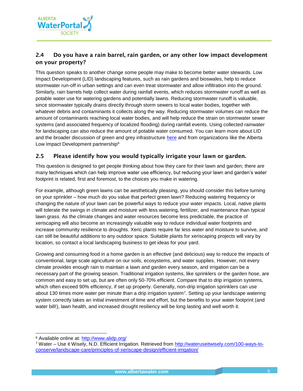

#### <span id="page-5-0"></span>2.4 Do you have a rain barrel, rain garden, or any other low impact development on your property?

This question speaks to another change some people may make to become better water stewards. Low Impact Development (LID) landscaping features, such as rain gardens and bioswales, help to reduce stormwater run-off in urban settings and can even treat stormwater and allow infiltration into the ground. Similarly, rain barrels help collect water during rainfall events, which reduces stormwater runoff as well as potable water use for watering gardens and potentially lawns. Reducing stormwater runoff is valuable, since stormwater typically drains directly through storm sewers to local water bodies, together with whatever debris and contaminants it collects along the way. Reducing stormwater volumes can reduce the amount of contaminants reaching local water bodies, and will help reduce the strain on stormwater sewer systems (and associated frequency of localized flooding) during rainfall events. Using collected rainwater for landscaping can also reduce the amount of potable water consumed. You can learn more about LID and the broader discussion of green and grey infrastructure [here](http://albertawater.com/green-vs-grey-infrastructure) and from organizations like the Alberta Low Impact Development partnership<sup>6</sup>

#### <span id="page-5-1"></span>2.5 Please identify how you would typically irrigate your lawn or garden.

This question is designed to get people thinking about how they care for their lawn and garden; there are many techniques which can help improve water use efficiency, but reducing your lawn and garden's water footprint is related, first and foremost, to the choices you make in watering.

For example, although green lawns can be aesthetically pleasing, you should consider this before turning on your sprinkler – how much do you value that perfect green lawn? Reducing watering frequency or changing the nature of your lawn can be powerful ways to reduce your water impacts. Local, native plants will tolerate the swings in climate and moisture with less watering, fertilizer, and maintenance than typical lawn grass. As the climate changes and water resources become less predictable, the practice of xeriscaping will also become an increasingly valuable way to reduce individual water footprints and increase community resilience to droughts. Xeric plants require far less water and moisture to survive, and can still be beautiful additions to any outdoor space. Suitable plants for xeriscaping projects will vary by location, so contact a local landscaping business to get ideas for your yard.

Growing and consuming food in a home garden is an effective (and delicious) way to reduce the impacts of conventional, large scale agriculture on our soils, ecosystems, and water supplies. However, not every climate provides enough rain to maintain a lawn and garden every season, and irrigation can be a necessary part of the growing season. Traditional irrigation systems, like sprinklers or the garden hose, are common and easy to set up, but are often only 50-70% efficient. Compare that to drip irrigation systems, which often exceed 90% efficiency, if set up properly. Generally, non-drip irrigation sprinklers can use about 130 times more water per minute than a drip irrigation system<sup>7</sup>. Setting up your landscape watering system correctly takes an initial investment of time and effort, but the benefits to your water footprint (and water bill!), lawn health, and increased drought resiliency will be long lasting and well worth it.

l

<sup>6</sup> Available online at:<http://www.alidp.org/>

<sup>7</sup> Water – Use it Wisely, N.D. Efficient Irrigation. Retrieved from [http://wateruseitwisely.com/100-ways-to](http://wateruseitwisely.com/100-ways-to-conserve/landscape-care/principles-of-xeriscape-design/efficient-irrigation/)[conserve/landscape-care/principles-of-xeriscape-design/efficient-irrigation/](http://wateruseitwisely.com/100-ways-to-conserve/landscape-care/principles-of-xeriscape-design/efficient-irrigation/)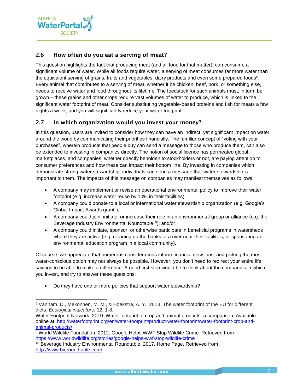

l

#### <span id="page-6-0"></span>2.6 How often do you eat a serving of meat?

This question highlights the fact that producing meat (and all food for that matter), can consume a significant volume of water. While all foods require water, a serving of meat consumes far more water than the equivalent serving of grains, fruits and vegetables, dairy products and even some prepared foods<sup>8</sup>. Every animal that contributes to a serving of meat, whether it be chicken, beef, pork, or something else, needs to receive water and food throughout its lifetime. The feedstock for such animals must, in turn, be grown – these grains and other crops require vast volumes of water to produce, which is linked to the significant water footprint of meat. Consider substituting vegetable-based proteins and fish for meats a few nights a week, and you will significantly reduce your water footprint.

#### <span id="page-6-1"></span>2.7 In which organization would you invest your money?

In this question, users are invited to consider how they can have an indirect, yet significant impact on water around the world by communicating their priorities financially. The familiar concept of "voting with your purchases", wherein products that people buy can send a message to those who produce them, can also be extended to investing in companies directly. The notion of social licence has permeated global marketplaces, and companies, whether directly beholden to stockholders or not, are paying attention to consumer preferences and how these can impact their bottom line. By investing in companies which demonstrate strong water stewardship, individuals can send a message that water stewardship is important to them. The impacts of this message on companies may manifest themselves as follows:

- A company may implement or revise an operational environmental policy to improve their water footprint (e.g. increase water reuse by 10% in their facilities);
- A company could donate to a local or international water stewardship organization (e.g. Google's Global Impact Awards grant<sup>9</sup>);
- A company could join, initiate, or increase their role in an environmental group or alliance (e.g. the Beverage Industry Environmental Roundtable<sup>10</sup>); and/or,
- A company could initiate, sponsor, or otherwise participate in beneficial programs in watersheds where they are active (e.g. cleaning up the banks of a river near their facilities, or sponsoring an environmental education program in a local community).

Of course, we appreciate that numerous considerations inform financial decisions, and picking the most water-conscious option may not always be possible. However, you don't need to redirect your entire life savings to be able to make a difference. A good first step would be to think about the companies in which you invest, and try to answer these questions:

• Do they have one or more policies that support water stewardship?

<sup>8</sup> Vanham, D., Mekonnen, M. M., & Hoekstra, A. Y., 2013. The water footprint of the EU for different diets. *Ecological indicators*, *32*, 1-8.

Water Footprint Network, 2010. Water footprint of crop and animal products: a comparison. Available online at: [http://waterfootprint.org/en/water-footprint/product-water-footprint/water-footprint-crop-and](http://waterfootprint.org/en/water-footprint/product-water-footprint/water-footprint-crop-and-animal-products/)[animal-products/](http://waterfootprint.org/en/water-footprint/product-water-footprint/water-footprint-crop-and-animal-products/)

<sup>9</sup> World Wildlife Foundation, 2012. Google Helps WWF Stop Wildlife Crime. Retrieved from <https://www.worldwildlife.org/stories/google-helps-wwf-stop-wildlife-crime>

<sup>10</sup> Beverage Industry Environmental Roundtable, 2017. Home Page. Retrieved from <http://www.bieroundtable.com/>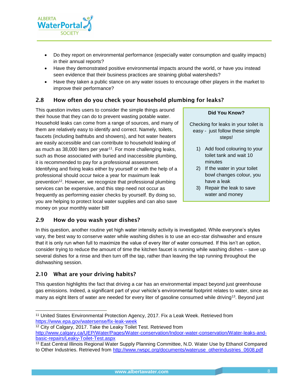

- Do they report on environmental performance (especially water consumption and quality impacts) in their annual reports?
- Have they demonstrated positive environmental impacts around the world, or have you instead seen evidence that their business practices are straining global watersheds?
- Have they taken a public stance on any water issues to encourage other players in the market to improve their performance?

#### <span id="page-7-0"></span>2.8 How often do you check your household plumbing for leaks?

This question invites users to consider the simple things around their house that they can do to prevent wasting potable water. Household leaks can come from a range of sources, and many of them are relatively easy to identify and correct. Namely, toilets, faucets (including bathtubs and showers), and hot water heaters are easily accessible and can contribute to household leaking of as much as 38,000 liters per year<sup>11</sup>. For more challenging leaks, such as those associated with buried and inaccessible plumbing, it is recommended to pay for a professional assessment. Identifying and fixing leaks either by yourself or with the help of a professional should occur twice a year for maximum leak prevention<sup>12</sup>. However, we recognize that professional plumbing services can be expensive, and this step need not occur as frequently as performing easier checks by yourself. By doing so, you are helping to protect local water supplies and can also save money on your monthly water bill!

#### **Did You Know?**

- Checking for leaks in your toilet is easy - just follow these simple steps!
	- 1) Add food colouring to your toilet tank and wait 10 minutes
	- 2) If the water in your toilet bowl changes colour, you have a leak
	- 3) Repair the leak to save water and money

#### <span id="page-7-1"></span>2.9 How do you wash your dishes?

In this question, another routine yet high water intensity activity is investigated. While everyone's styles vary, the best way to conserve water while washing dishes is to use an eco-star dishwasher and ensure that it is only run when full to maximize the value of every liter of water consumed. If this isn't an option, consider trying to reduce the amount of time the kitchen faucet is running while washing dishes – save up several dishes for a rinse and then turn off the tap, rather than leaving the tap running throughout the dishwashing session.

#### <span id="page-7-2"></span>2.10 What are your driving habits?

l

This question highlights the fact that driving a car has an environmental impact beyond just greenhouse gas emissions. Indeed, a significant part of your vehicle's environmental footprint relates to water, since as many as eight liters of water are needed for every liter of gasoline consumed while driving<sup>13</sup>. Beyond just

<sup>12</sup> City of Calgary, 2017. Take the Leaky Toilet Test. Retrieved from

<sup>11</sup> United States Environmental Protection Agency, 2017. Fix a Leak Week. Retrieved from <https://www.epa.gov/watersense/fix-leak-week>

[http://www.calgary.ca/UEP/Water/Pages/Water-conservation/Indoor-water-conservation/Water-leaks-and](http://www.calgary.ca/UEP/Water/Pages/Water-conservation/Indoor-water-conservation/Water-leaks-and-basic-repairs/Leaky-Toilet-Test.aspx)[basic-repairs/Leaky-Toilet-Test.aspx](http://www.calgary.ca/UEP/Water/Pages/Water-conservation/Indoor-water-conservation/Water-leaks-and-basic-repairs/Leaky-Toilet-Test.aspx)

<sup>13</sup> East Central Illinois Regional Water Supply Planning Committee, N.D. Water Use by Ethanol Compared to Other Industries. Retrieved from [http://www.rwspc.org/documents/wateruse\\_otherindustries\\_0608.pdf](http://www.rwspc.org/documents/wateruse_otherindustries_0608.pdf)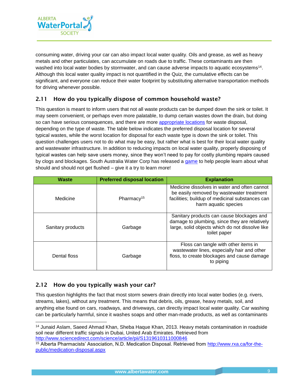

consuming water, driving your car can also impact local water quality. Oils and grease, as well as heavy metals and other particulates, can accumulate on roads due to traffic. These contaminants are then washed into local water bodies by stormwater, and can cause adverse impacts to aquatic ecosystems<sup>14</sup>. Although this local water quality impact is not quantified in the Quiz, the cumulative effects can be significant, and everyone can reduce their water footprint by substituting alternative transportation methods for driving whenever possible.

#### <span id="page-8-0"></span>2.11 How do you typically dispose of common household waste?

This question is meant to inform users that not all waste products can be dumped down the sink or toilet. It may seem convenient, or perhaps even more palatable, to dump certain wastes down the drain, but doing so can have serious consequences, and there are more [appropriate locations](http://www.calgary.ca/UEP/WRS/Pages/What-goes-where/Default.aspx) for waste disposal, depending on the type of waste. The table below indicates the preferred disposal location for several typical wastes, while the worst location for disposal for each waste type is down the sink or toilet. This question challenges users not to do what may be easy, but rather what is best for their local water quality and wastewater infrastructure. In addition to reducing impacts on local water quality, properly disposing of typical wastes can help save users money, since they won't need to pay for costly plumbing repairs caused by clogs and blockages. South Australia Water Corp has released a [game](https://www.youtube.com/watch?v=zmnZTaUa2bY) to help people learn about what should and should not get flushed – give it a try to learn more!

| <b>Waste</b>      | <b>Preferred disposal location</b> | <b>Explanation</b>                                                                                                                                                   |
|-------------------|------------------------------------|----------------------------------------------------------------------------------------------------------------------------------------------------------------------|
| Medicine          | Pharmacy <sup>15</sup>             | Medicine dissolves in water and often cannot<br>be easily removed by wastewater treatment<br>facilities; buildup of medicinal substances can<br>harm aquatic species |
| Sanitary products | Garbage                            | Sanitary products can cause blockages and<br>damage to plumbing, since they are relatively<br>large, solid objects which do not dissolve like<br>toilet paper        |
| Dental floss      | Garbage                            | Floss can tangle with other items in<br>wastewater lines, especially hair and other<br>floss, to create blockages and cause damage<br>to piping                      |

#### <span id="page-8-1"></span>2.12 How do you typically wash your car?

l

This question highlights the fact that most storm sewers drain directly into local water bodies (e.g. rivers, streams, lakes), without any treatment. This means that debris, oils, grease, heavy metals, soil, and anything else found on cars, roadways, and driveways, can directly impact local water quality. Car washing can be particularly harmful, since it washes soaps and other man-made products, as well as contaminants

<sup>14</sup> Junaid Aslam, Saeed Ahmad Khan, Sheba Haque Khan, 2013. Heavy metals contamination in roadside soil near different traffic signals in Dubai, United Arab Emirates. Retrieved from <http://www.sciencedirect.com/science/article/pii/S1319610311000846>

<sup>15</sup> Alberta Pharmacists' Association, N.D. Medication Disposal. Retrieved from [http://www.rxa.ca/for-the](http://www.rxa.ca/for-the-public/medication-disposal.aspx)[public/medication-disposal.aspx](http://www.rxa.ca/for-the-public/medication-disposal.aspx)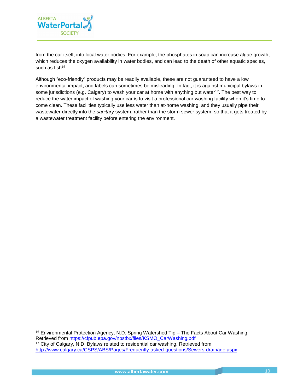

l

from the car itself, into local water bodies. For example, the phosphates in soap can increase algae growth, which reduces the oxygen availability in water bodies, and can lead to the death of other aquatic species, such as fish<sup>16</sup>.

Although "eco-friendly" products may be readily available, these are not guaranteed to have a low environmental impact, and labels can sometimes be misleading. In fact, it is against municipal bylaws in some jurisdictions (e.g. Calgary) to wash your car at home with anything but water<sup>17</sup>. The best way to reduce the water impact of washing your car is to visit a professional car washing facility when it's time to come clean. These facilities typically use less water than at-home washing, and they usually pipe their wastewater directly into the *sanitary* system, rather than the storm sewer system, so that it gets treated by a wastewater treatment facility before entering the environment.

<sup>16</sup> Environmental Protection Agency, N.D. Spring Watershed Tip – The Facts About Car Washing. Retrieved from [https://cfpub.epa.gov/npstbx/files/KSMO\\_CarWashing.pdf](https://cfpub.epa.gov/npstbx/files/KSMO_CarWashing.pdf) <sup>17</sup> City of Calgary, N.D. Bylaws related to residential car washing. Retrieved from <http://www.calgary.ca/CSPS/ABS/Pages/Frequently-asked-questions/Sewers-drainage.aspx>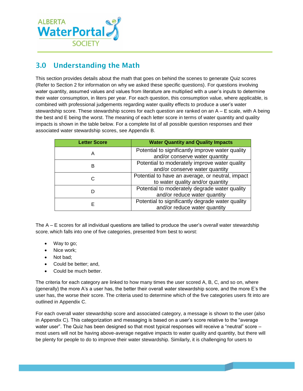

### <span id="page-10-0"></span>3.0 Understanding the Math

This section provides details about the math that goes on behind the scenes to generate Quiz scores (Refer to Section 2 for information on why we asked these specific questions). For questions involving water quantity, assumed values and values from literature are multiplied with a user's inputs to determine their water consumption, in liters per year. For each question, this consumption value, where applicable, is combined with professional judgements regarding water quality effects to produce a user's water stewardship score. These stewardship scores for each question are ranked on an A – E scale, with A being the best and E being the worst. The meaning of each letter score in terms of water quantity and quality impacts is shown in the table below. For a complete list of all possible question responses and their associated water stewardship scores, see Appendix B.

| <b>Letter Score</b> | <b>Water Quantity and Quality Impacts</b>        |
|---------------------|--------------------------------------------------|
| Α                   | Potential to significantly improve water quality |
|                     | and/or conserve water quantity                   |
| B                   | Potential to moderately improve water quality    |
|                     | and/or conserve water quantity                   |
| C                   | Potential to have an average, or neutral, impact |
|                     | to water quality and/or quantity                 |
|                     | Potential to moderately degrade water quality    |
|                     | and/or reduce water quantity                     |
|                     | Potential to significantly degrade water quality |
| Е                   | and/or reduce water quantity                     |

The A – E scores for all individual questions are tallied to produce the user's *overall* water stewardship score, which falls into one of five categories, presented from best to worst:

- Way to go;
- Nice work;
- Not bad;
- Could be better; and,
- Could be much better.

The criteria for each category are linked to how many times the user scored A, B, C, and so on, where (generally) the more A's a user has, the better their overall water stewardship score, and the more E's the user has, the worse their score. The criteria used to determine which of the five categories users fit into are outlined in Appendix C.

For each overall water stewardship score and associated category, a message is shown to the user (also in Appendix C). This categorization and messaging is based on a user's score relative to the "average water user". The Quiz has been designed so that most typical responses will receive a "neutral" score – most users will not be having above-average negative impacts to water quality and quantity, but there will be plenty for people to do to improve their water stewardship. Similarly, it is challenging for users to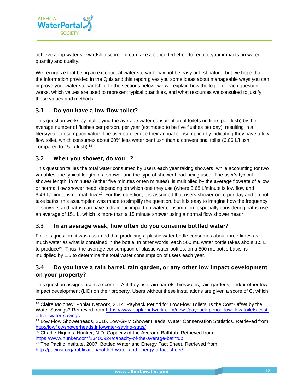

achieve a top water stewardship score – it can take a concerted effort to reduce your impacts on water quantity and quality.

We recognize that being an exceptional water steward may not be easy or first nature, but we hope that the information provided in the Quiz and this report gives you some ideas about manageable ways you can improve your water stewardship. In the sections below, we will explain how the logic for each question works, which values are used to represent typical quantities, and what resources we consulted to justify these values and methods.

#### <span id="page-11-0"></span>3.1 Do you have a low flow toilet?

This question works by multiplying the average water consumption of toilets (in liters per flush) by the average number of flushes per person, per year (estimated to be five flushes per day), resulting in a liters/year consumption value. The user can reduce their annual consumption by indicating they have a low flow toilet, which consumes about 60% less water per flush than a conventional toilet (6.06 L/flush compared to 15 L/flush) <sup>18</sup>.

#### <span id="page-11-1"></span>3.2 When you shower, do you…?

l

This question tallies the total water consumed by users each year taking showers, while accounting for two variables: the typical length of a shower and the type of shower head being used. The user's typical shower length, in minutes (either five minutes or ten minutes), is multiplied by the average flowrate of a low or normal flow shower head, depending on which one they use (where 5.68 L/minute is low flow and 9.46 L/minute is normal flow)<sup>19</sup>. For this question, it is assumed that users shower once per day and do not take baths; this assumption was made to simplify the question, but it is easy to imagine how the frequency of showers and baths can have a dramatic impact on water consumption, especially considering baths use an average of 151 L, which is more than a 15 minute shower using a normal flow shower head<sup>20!</sup>

#### <span id="page-11-2"></span>3.3 In an average week, how often do you consume bottled water?

For this question, it was assumed that producing a plastic water bottle consumes about three times as much water as what is contained in the bottle. In other words, each 500 mL water bottle takes about 1.5 L to produce<sup>21</sup>. Thus, the average consumption of plastic water bottles, on a 500 mL bottle basis, is multiplied by 1.5 to determine the total water consumption of users each year.

#### <span id="page-11-3"></span>3.4 Do you have a rain barrel, rain garden, or any other low impact development on your property?

This question assigns users a score of A if they use rain barrels, bioswales, rain gardens, and/or other low impact development (LID) on their property. Users without these installations are given a score of C, which

<sup>18</sup> Claire Moloney, Poplar Network, 2014. Payback Period for Low Flow Toilets: Is the Cost Offset by the Water Savings? Retrieved from [https://www.poplarnetwork.com/news/payback-period-low-flow-toilets-cost](https://www.poplarnetwork.com/news/payback-period-low-flow-toilets-cost-offset-water-savings)[offset-water-savings](https://www.poplarnetwork.com/news/payback-period-low-flow-toilets-cost-offset-water-savings)

<sup>19</sup> Low Flow Showerheads, 2016. Low-GPM Shower Heads: Water Conservation Statistics. Retrieved from <http://lowflowshowerheads.info/water-saving-stats/>

<sup>&</sup>lt;sup>20</sup> Charlie Higgins, Hunker, N.D. Capacity of the Average Bathtub. Retrieved from <https://www.hunker.com/13400924/capacity-of-the-average-bathtub>

<sup>21</sup> The Pacific Institute, 2007. Bottled Water and Energy Fact Sheet. Retrieved from <http://pacinst.org/publication/bottled-water-and-energy-a-fact-sheet/>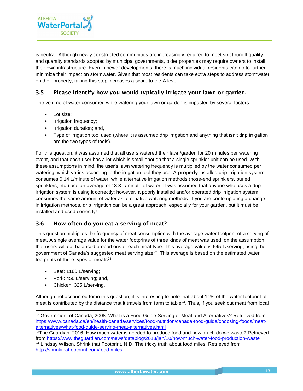

is neutral. Although newly constructed communities are increasingly required to meet strict runoff quality and quantity standards adopted by municipal governments, older properties may require owners to install their own infrastructure. Even in newer developments, there is much individual residents can do to further minimize their impact on stormwater. Given that most residents can take extra steps to address stormwater on their property, taking this step increases a score to the A level.

#### <span id="page-12-0"></span>3.5 Please identify how you would typically irrigate your lawn or garden.

The volume of water consumed while watering your lawn or garden is impacted by several factors:

- Lot size;
- Irrigation frequency;
- Irrigation duration; and,
- Type of irrigation tool used (where it is assumed drip irrigation and anything that isn't drip irrigation are the two types of tools).

For this question, it was assumed that all users watered their lawn/garden for 20 minutes per watering event, and that each user has a lot which is small enough that a single sprinkler unit can be used. With these assumptions in mind, the user's lawn watering frequency is multiplied by the water consumed per watering, which varies according to the irrigation tool they use. A **properly** installed drip irrigation system consumes 0.14 L/minute of water, while alternative irrigation methods (hose-end sprinklers, buried sprinklers, etc.) use an average of 13.3 L/minute of water. It was assumed that anyone who uses a drip irrigation system is using it correctly; however, a poorly installed and/or operated drip irrigation system consumes the same amount of water as alternative watering methods. If you are contemplating a change in irrigation methods, drip irrigation can be a great approach, especially for your garden, but it must be installed and used correctly!

#### <span id="page-12-1"></span>3.6 How often do you eat a serving of meat?

This question multiplies the frequency of meat consumption with the average water footprint of a serving of meat. A single average value for the water footprints of three kinds of meat was used, on the assumption that users will eat balanced proportions of each meat type. This average value is 645 L/serving, using the government of Canada's suggested meat serving size<sup>22</sup>. This average is based on the estimated water footprints of three types of meats<sup>23</sup>:

- Beef: 1160 L/serving;
- Pork: 450 L/serving; and,
- Chicken: 325 L/serving.

l

Although not accounted for in this question, it is interesting to note that about 11% of the water footprint of meat is contributed by the distance that it travels from farm to table<sup>24</sup>. Thus, if you seek out meat from local

<sup>&</sup>lt;sup>22</sup> Government of Canada, 2008. What is a Food Guide Serving of Meat and Alternatives? Retrieved from [https://www.canada.ca/en/health-canada/services/food-nutrition/canada-food-guide/choosing-foods/meat](https://www.canada.ca/en/health-canada/services/food-nutrition/canada-food-guide/choosing-foods/meat-alternatives/what-food-guide-serving-meat-alternatives.html)[alternatives/what-food-guide-serving-meat-alternatives.html](https://www.canada.ca/en/health-canada/services/food-nutrition/canada-food-guide/choosing-foods/meat-alternatives/what-food-guide-serving-meat-alternatives.html)

 $23$ The Guardian, 2016. How much water is needed to produce food and how much do we waste? Retrieved from<https://www.theguardian.com/news/datablog/2013/jan/10/how-much-water-food-production-waste> <sup>24</sup> Lindsay Wilson, Shrink that Footprint, N.D. The tricky truth about food miles. Retrieved from <http://shrinkthatfootprint.com/food-miles>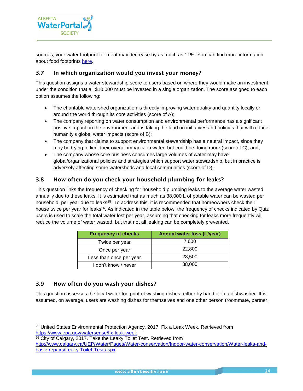

sources, your water footprint for meat may decrease by as much as 11%. You can find more information about food footprints [here.](http://shrinkthatfootprint.com/food-miles)

#### <span id="page-13-0"></span>3.7 In which organization would you invest your money?

This question assigns a water stewardship score to users based on where they would make an investment, under the condition that all \$10,000 must be invested in a single organization. The score assigned to each option assumes the following:

- The charitable watershed organization is directly improving water quality and quantity locally or around the world through its core activities (score of A);
- The company reporting on water consumption and environmental performance has a significant positive impact on the environment and is taking the lead on initiatives and policies that will reduce humanity's global water impacts (score of B);
- The company that claims to support environmental stewardship has a neutral impact, since they may be trying to limit their overall impacts on water, but could be doing more (score of C); and,
- The company whose core business consumes large volumes of water may have global/organizational policies and strategies which support water stewardship, but in practice is adversely affecting some watersheds and local communities (score of D).

#### <span id="page-13-1"></span>3.8 How often do you check your household plumbing for leaks?

This question links the frequency of checking for household plumbing leaks to the average water wasted annually due to these leaks. It is estimated that as much as 38,000 L of potable water can be wasted per household, per year due to leaks<sup>25</sup>. To address this, it is recommended that homeowners check their house twice per year for leaks<sup>26</sup>. As indicated in the table below, the frequency of checks indicated by Quiz users is used to scale the total water lost per year, assuming that checking for leaks more frequently will reduce the volume of water wasted, but that not all leaking can be completely prevented.

| <b>Frequency of checks</b> | <b>Annual water loss (L/year)</b> |
|----------------------------|-----------------------------------|
| Twice per year             | 7,600                             |
| Once per year              | 22,800                            |
| Less than once per year    | 28,500                            |
| I don't know / never       | 38,000                            |

#### <span id="page-13-2"></span>3.9 How often do you wash your dishes?

l

This question assesses the local water footprint of washing dishes, either by hand or in a dishwasher. It is assumed, on average, users are washing dishes for themselves and one other person (roommate, partner,

<sup>25</sup> United States Environmental Protection Agency, 2017. Fix a Leak Week. Retrieved from <https://www.epa.gov/watersense/fix-leak-week>

<sup>&</sup>lt;sup>26</sup> City of Calgary, 2017. Take the Leaky Toilet Test. Retrieved from [http://www.calgary.ca/UEP/Water/Pages/Water-conservation/Indoor-water-conservation/Water-leaks-and](http://www.calgary.ca/UEP/Water/Pages/Water-conservation/Indoor-water-conservation/Water-leaks-and-basic-repairs/Leaky-Toilet-Test.aspx)[basic-repairs/Leaky-Toilet-Test.aspx](http://www.calgary.ca/UEP/Water/Pages/Water-conservation/Indoor-water-conservation/Water-leaks-and-basic-repairs/Leaky-Toilet-Test.aspx)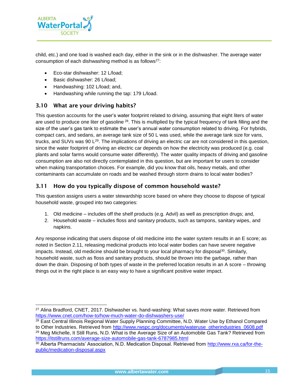

l

child, etc.) and one load is washed each day, either in the sink or in the dishwasher. The average water consumption of each dishwashing method is as follows<sup>27</sup>:

- Eco-star dishwasher: 12 L/load;
- Basic dishwasher: 26 L/load:
- Handwashing: 102 L/load; and,
- Handwashing while running the tap: 179 L/load.

#### <span id="page-14-0"></span>3.10 What are your driving habits?

This question accounts for the user's water footprint related to driving, assuming that eight liters of water are used to produce one liter of gasoline <sup>28</sup>. This is multiplied by the typical frequency of tank filling and the size of the user's gas tank to estimate the user's annual water consumption related to driving. For hybrids, compact cars, and sedans, an average tank size of 50 L was used, while the average tank size for vans, trucks, and SUVs was 90  $L^{29}$ . The implications of driving an electric car are not considered in this question, since the water footprint of driving an electric car depends on how the electricity was produced (e.g. coal plants and solar farms would consume water differently). The water quality impacts of driving and gasoline consumption are also not directly contemplated in this question, but are important for users to consider when making transportation choices. For example, did you know that oils, heavy metals, and other contaminants can accumulate on roads and be washed through storm drains to local water bodies?

#### <span id="page-14-1"></span>3.11 How do you typically dispose of common household waste?

This question assigns users a water stewardship score based on where they choose to dispose of typical household waste, grouped into two categories:

- 1. Old medicine includes off the shelf products (e.g. Advil) as well as prescription drugs; and,
- 2. Household waste includes floss and sanitary products, such as tampons, sanitary wipes, and napkins.

Any response indicating that users dispose of old medicine into the water system results in an E score; as noted in Section 2.11, releasing medicinal products into local water bodies can have severe negative impacts. Instead, old medicine should be brought to your local pharmacy for disposal<sup>30</sup>. Similarly, household waste, such as floss and sanitary products, should be thrown into the garbage, rather than down the drain. Disposing of both types of waste in the preferred location results in an A score – throwing things out in the right place is an easy way to have a significant positive water impact.

<sup>&</sup>lt;sup>27</sup> Alina Bradford, CNET, 2017. Dishwasher vs. hand-washing: What saves more water. Retrieved from <https://www.cnet.com/how-to/how-much-water-do-dishwashers-use/>

<sup>&</sup>lt;sup>28</sup> East Central Illinois Regional Water Supply Planning Committee, N.D. Water Use by Ethanol Compared to Other Industries. Retrieved from [http://www.rwspc.org/documents/wateruse\\_otherindustries\\_0608.pdf](http://www.rwspc.org/documents/wateruse_otherindustries_0608.pdf)

<sup>&</sup>lt;sup>29</sup> Meg Michelle, It Still Runs, N.D. What is the Average Size of an Automobile Gas Tank? Retrieved from <https://itstillruns.com/average-size-automobile-gas-tank-6787985.html>

<sup>30</sup> Alberta Pharmacists' Association, N.D. Medication Disposal. Retrieved from [http://www.rxa.ca/for-the](http://www.rxa.ca/for-the-public/medication-disposal.aspx)[public/medication-disposal.aspx](http://www.rxa.ca/for-the-public/medication-disposal.aspx)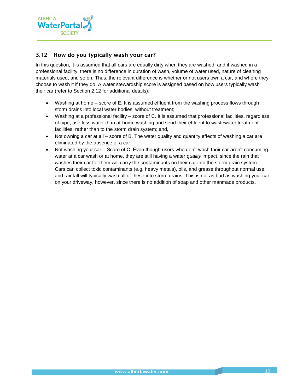

#### <span id="page-15-0"></span>3.12 How do you typically wash your car?

In this question, it is assumed that all cars are equally dirty when they are washed, and if washed in a professional facility, there is no difference in duration of wash, volume of water used, nature of cleaning materials used, and so on. Thus, the relevant difference is whether or not users own a car, and where they choose to wash it if they do. A water stewardship score is assigned based on how users typically wash their car (refer to Section 2.12 for additional details):

- Washing at home score of E. It is assumed effluent from the washing process flows through storm drains into local water bodies, without treatment;
- Washing at a professional facility score of C. It is assumed that professional facilities, regardless of type, use less water than at-home washing and send their effluent to wastewater treatment facilities, rather than to the storm drain system; and,
- Not owning a car at all score of B. The water quality and quantity effects of washing a car are eliminated by the absence of a car.
- Not washing your car Score of C. Even though users who don't wash their car aren't consuming water at a car wash or at home, they are still having a water *quality* impact, since the rain that washes their car for them will carry the contaminants on their car into the storm drain system. Cars can collect toxic contaminants (e.g. heavy metals), oils, and grease throughout normal use, and rainfall will typically wash all of these into storm drains. This is not as bad as washing your car on your driveway, however, since there is no addition of soap and other manmade products.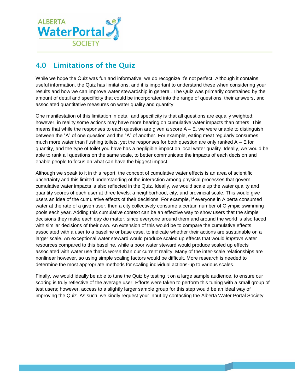

## <span id="page-16-0"></span>4.0 Limitations of the Quiz

While we hope the Quiz was fun and informative, we do recognize it's not perfect. Although it contains useful information, the Quiz has limitations, and it is important to understand these when considering your results and how we can improve water stewardship in general. The Quiz was primarily constrained by the amount of detail and specificity that could be incorporated into the range of questions, their answers, and associated quantitative measures on water quality and quantity.

One manifestation of this limitation in detail and specificity is that all questions are equally weighted; however, in reality some actions may have more bearing on cumulative water impacts than others. This means that while the responses to each question are given a score  $A - E$ , we were unable to distinguish between the "A" of one question and the "A" of another. For example, eating meat regularly consumes much more water than flushing toilets, yet the responses for both question are only ranked  $A - E$  for quantity, and the type of toilet you have has a negligible impact on local water quality. Ideally, we would be able to rank all questions on the same scale, to better communicate the impacts of each decision and enable people to focus on what can have the biggest impact.

Although we speak to it in this report, the concept of cumulative water effects is an area of scientific uncertainty and this limited understanding of the interaction among physical processes that govern cumulative water impacts is also reflected in the Quiz. Ideally, we would scale up the water quality and quantity scores of each user at three levels: a neighborhood, city, and provincial scale. This would give users an idea of the cumulative effects of their decisions. For example, if everyone in Alberta consumed water at the rate of a given user, then a city collectively consume a certain number of Olympic swimming pools each year. Adding this cumulative context can be an effective way to show users that the simple decisions they make each day *do* matter, since everyone around them and around the world is also faced with similar decisions of their own. An extension of this would be to compare the cumulative effects associated with a user to a baseline or base case, to indicate whether their actions are sustainable on a larger scale. An exceptional water steward would produce scaled up effects that would *improve* water resources compared to this baseline, while a poor water steward would produce scaled up effects associated with water use that is *worse* than our current reality. Many of the inter-scale relationships are nonlinear however, so using simple scaling factors would be difficult. More research is needed to determine the most appropriate methods for scaling individual actions-up to various scales.

Finally, we would ideally be able to tune the Quiz by testing it on a large sample audience, to ensure our scoring is truly reflective of the average user. Efforts were taken to perform this tuning with a small group of test users; however, access to a slightly larger sample group for this step would be an ideal way of improving the Quiz. As such, we kindly request your input by contacting the Alberta Water Portal Society.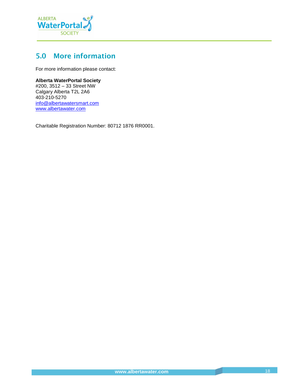

## <span id="page-17-0"></span>5.0 More information

For more information please contact:

#### **Alberta WaterPortal Society**

#200, 3512 – 33 Street NW Calgary Alberta T2L 2A6 403-210-5270 [info@albertawatersmart.com](mailto:info@albertawatersmart.com) [www.albertawater.com](http://www.albertawater.com/)

Charitable Registration Number: 80712 1876 RR0001.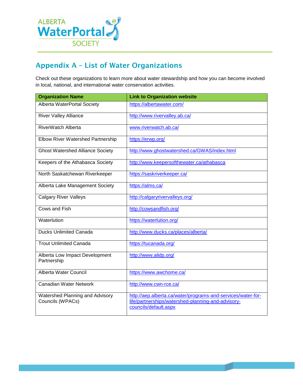

## <span id="page-18-0"></span>Appendix A – List of Water Organizations

Check out these organizations to learn more about water stewardship and how you can become involved in local, national, and international water conservation activities.

| <b>Organization Name</b>                            | <b>Link to Organization website</b>                                                                                                         |
|-----------------------------------------------------|---------------------------------------------------------------------------------------------------------------------------------------------|
| Alberta WaterPortal Society                         | https://albertawater.com/                                                                                                                   |
| <b>River Valley Alliance</b>                        | http://www.rivervalley.ab.ca/                                                                                                               |
| RiverWatch Alberta                                  | www.riverwatch.ab.ca/                                                                                                                       |
| <b>Elbow River Watershed Partnership</b>            | https://erwp.org/                                                                                                                           |
| <b>Ghost Watershed Alliance Society</b>             | http://www.ghostwatershed.ca/GWAS/index.html                                                                                                |
| Keepers of the Athabasca Society                    | http://www.keepersofthewater.ca/athabasca                                                                                                   |
| North Saskatchewan Riverkeeper                      | https://saskriverkeeper.ca/                                                                                                                 |
| Alberta Lake Management Society                     | https://alms.ca/                                                                                                                            |
| <b>Calgary River Valleys</b>                        | http://calgaryrivervalleys.org/                                                                                                             |
| Cows and Fish                                       | http://cowsandfish.org/                                                                                                                     |
| Waterlution                                         | https://waterlution.org/                                                                                                                    |
| <b>Ducks Unlimited Canada</b>                       | http://www.ducks.ca/places/alberta/                                                                                                         |
| <b>Trout Unlimited Canada</b>                       | https://tucanada.org/                                                                                                                       |
| Alberta Low Impact Development<br>Partnership       | http://www.alidp.org/                                                                                                                       |
| Alberta Water Council                               | https://www.awchome.ca/                                                                                                                     |
| Canadian Water Network                              | http://www.cwn-rce.ca/                                                                                                                      |
| Watershed Planning and Advisory<br>Councils (WPACs) | http://aep.alberta.ca/water/programs-and-services/water-for-<br>life/partnerships/watershed-planning-and-advisory-<br>councils/default.aspx |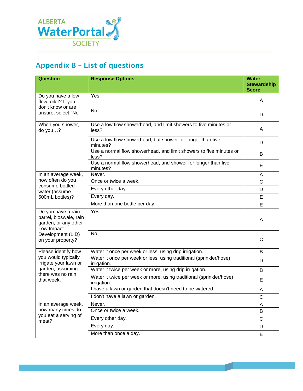

## <span id="page-19-0"></span>Appendix B – List of questions

| <b>Question</b>                                                                    | <b>Response Options</b>                                                            | <b>Water</b><br><b>Stewardship</b><br><b>Score</b> |
|------------------------------------------------------------------------------------|------------------------------------------------------------------------------------|----------------------------------------------------|
| Do you have a low<br>flow toilet? If you<br>don't know or are                      | Yes.                                                                               | A                                                  |
| unsure, select "No"                                                                | No.                                                                                | D                                                  |
| When you shower,<br>do you?                                                        | Use a low flow showerhead, and limit showers to five minutes or<br>less?           | A                                                  |
|                                                                                    | Use a low flow showerhead, but shower for longer than five<br>minutes?             | D                                                  |
|                                                                                    | Use a normal flow showerhead, and limit showers to five minutes or<br>less?        | B                                                  |
|                                                                                    | Use a normal flow showerhead, and shower for longer than five<br>minutes?          | E                                                  |
| In an average week,                                                                | Never.                                                                             | A                                                  |
| how often do you<br>consume bottled                                                | Once or twice a week.                                                              | $\mathsf{C}$                                       |
| water (assume                                                                      | Every other day.                                                                   | D                                                  |
| 500mL bottles)?                                                                    | Every day.                                                                         | E                                                  |
|                                                                                    | More than one bottle per day.                                                      | E                                                  |
| Do you have a rain<br>barrel, bioswale, rain<br>garden, or any other<br>Low Impact | Yes.                                                                               | A                                                  |
| Development (LID)<br>on your property?                                             | No.                                                                                | C                                                  |
| Please identify how                                                                | Water it once per week or less, using drip irrigation.                             | B                                                  |
| you would typically<br>irrigate your lawn or                                       | Water it once per week or less, using traditional (sprinkler/hose)<br>irrigation.  | D                                                  |
| garden, assuming                                                                   | Water it twice per week or more, using drip irrigation.                            | B                                                  |
| there was no rain<br>that week.                                                    | Water it twice per week or more, using traditional (sprinkler/hose)<br>irrigation. | E                                                  |
|                                                                                    | I have a lawn or garden that doesn't need to be watered.                           | A                                                  |
|                                                                                    | I don't have a lawn or garden.                                                     | C                                                  |
| In an average week,                                                                | Never.                                                                             | A                                                  |
| how many times do                                                                  | Once or twice a week.                                                              | B                                                  |
| you eat a serving of<br>meat?                                                      | Every other day.                                                                   | C                                                  |
|                                                                                    | Every day.                                                                         | D                                                  |
|                                                                                    | More than once a day.                                                              | E                                                  |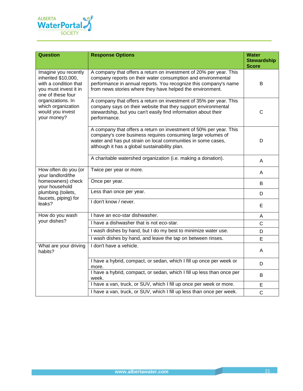

| <b>Question</b>                                                                                                    | <b>Response Options</b>                                                                                                                                                                                                                                             | <b>Water</b><br><b>Stewardship</b><br><b>Score</b> |
|--------------------------------------------------------------------------------------------------------------------|---------------------------------------------------------------------------------------------------------------------------------------------------------------------------------------------------------------------------------------------------------------------|----------------------------------------------------|
| Imagine you recently<br>inherited \$10,000,<br>with a condition that<br>you must invest it in<br>one of these four | A company that offers a return on investment of 20% per year. This<br>company reports on their water consumption and environmental<br>performance in annual reports. You recognize this company's name<br>from news stories where they have helped the environment. | B                                                  |
| organizations. In<br>which organization<br>would you invest<br>your money?                                         | A company that offers a return on investment of 35% per year. This<br>company says on their website that they support environmental<br>stewardship, but you can't easily find information about their<br>performance.                                               | $\mathsf{C}$                                       |
|                                                                                                                    | A company that offers a return on investment of 50% per year. This<br>company's core business requires consuming large volumes of<br>water and has put strain on local communities in some cases,<br>although it has a global sustainability plan.                  | D                                                  |
|                                                                                                                    | A charitable watershed organization (i.e. making a donation).                                                                                                                                                                                                       | A                                                  |
| How often do you (or<br>your landlord/the                                                                          | Twice per year or more.                                                                                                                                                                                                                                             | A                                                  |
| homeowners) check<br>your household                                                                                | Once per year.                                                                                                                                                                                                                                                      | B                                                  |
| plumbing (toilets,<br>faucets, piping) for                                                                         | Less than once per year.                                                                                                                                                                                                                                            | D                                                  |
| leaks?                                                                                                             | I don't know / never.                                                                                                                                                                                                                                               | E                                                  |
| How do you wash                                                                                                    | I have an eco-star dishwasher.                                                                                                                                                                                                                                      | A                                                  |
| your dishes?                                                                                                       | I have a dishwasher that is not eco-star.                                                                                                                                                                                                                           | $\mathsf{C}$                                       |
|                                                                                                                    | I wash dishes by hand, but I do my best to minimize water use.                                                                                                                                                                                                      | D                                                  |
|                                                                                                                    | I wash dishes by hand, and leave the tap on between rinses.                                                                                                                                                                                                         | E                                                  |
| What are your driving<br>habits?                                                                                   | I don't have a vehicle.                                                                                                                                                                                                                                             | A                                                  |
|                                                                                                                    | I have a hybrid, compact, or sedan, which I fill up once per week or<br>more.                                                                                                                                                                                       | D                                                  |
|                                                                                                                    | I have a hybrid, compact, or sedan, which I fill up less than once per<br>week.                                                                                                                                                                                     | B                                                  |
|                                                                                                                    | I have a van, truck, or SUV, which I fill up once per week or more.                                                                                                                                                                                                 | E                                                  |
|                                                                                                                    | I have a van, truck, or SUV, which I fill up less than once per week.                                                                                                                                                                                               | $\mathsf{C}$                                       |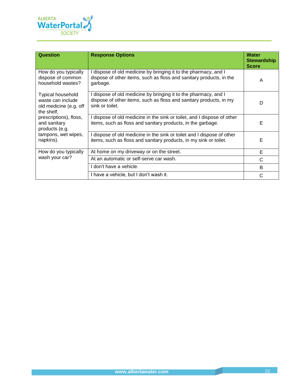

| Question                                                                       | <b>Response Options</b>                                                                                                                                  | <b>Water</b><br><b>Stewardship</b><br><b>Score</b> |
|--------------------------------------------------------------------------------|----------------------------------------------------------------------------------------------------------------------------------------------------------|----------------------------------------------------|
| How do you typically<br>dispose of common<br>household wastes?                 | I dispose of old medicine by bringing it to the pharmacy, and I<br>dispose of other items, such as floss and sanitary products, in the<br>garbage.       | A                                                  |
| Typical household<br>waste can include<br>old medicine (e.g. off<br>the shelf, | I dispose of old medicine by bringing it to the pharmacy, and I<br>dispose of other items, such as floss and sanitary products, in my<br>sink or toilet. | D                                                  |
| prescriptions), floss,<br>and sanitary<br>products (e.g.                       | I dispose of old medicine in the sink or toilet, and I dispose of other<br>items, such as floss and sanitary products, in the garbage.                   | Е                                                  |
| tampons, wet wipes,<br>napkins).                                               | I dispose of old medicine in the sink or toilet and I dispose of other<br>items, such as floss and sanitary products, in my sink or toilet.              | E                                                  |
| How do you typically                                                           | At home on my driveway or on the street.                                                                                                                 | E                                                  |
| wash your car?                                                                 | At an automatic or self-serve car wash.                                                                                                                  | C                                                  |
|                                                                                | I don't have a vehicle.                                                                                                                                  | B                                                  |
|                                                                                | I have a vehicle, but I don't wash it.                                                                                                                   | C                                                  |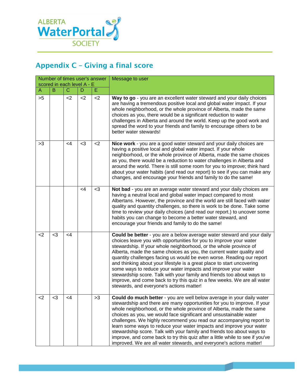

## <span id="page-22-0"></span>Appendix C – Giving a final score

| Number of times user's answer<br>scored in each level A - E |     |          |          |       | Message to user                                                                                                                                                                                                                                                                                                                                                                                                                                                                                                                                                                                                                                                                                                 |
|-------------------------------------------------------------|-----|----------|----------|-------|-----------------------------------------------------------------------------------------------------------------------------------------------------------------------------------------------------------------------------------------------------------------------------------------------------------------------------------------------------------------------------------------------------------------------------------------------------------------------------------------------------------------------------------------------------------------------------------------------------------------------------------------------------------------------------------------------------------------|
| B<br>$\mathbf C$<br>E.<br>D<br>A                            |     |          |          |       |                                                                                                                                                                                                                                                                                                                                                                                                                                                                                                                                                                                                                                                                                                                 |
| >5                                                          |     | $<$ 2    | $<$ 2    | $2$   | Way to go - you are an excellent water steward and your daily choices<br>are having a tremendous positive local and global water impact. If your<br>whole neighborhood, or the whole province of Alberta, made the same<br>choices as you, there would be a significant reduction to water<br>challenges in Alberta and around the world. Keep up the good work and<br>spread the word to your friends and family to encourage others to be<br>better water stewards!                                                                                                                                                                                                                                           |
| >3                                                          |     | $\leq$ 4 | $3$      | $<$ 2 | Nice work - you are a good water steward and your daily choices are<br>having a positive local and global water impact. If your whole<br>neighborhood, or the whole province of Alberta, made the same choices<br>as you, there would be a reduction to water challenges in Alberta and<br>around the world. There is still some room for you to improve; think hard<br>about your water habits (and read our report) to see if you can make any<br>changes, and encourage your friends and family to do the same!                                                                                                                                                                                              |
|                                                             |     |          | $\leq 4$ | $<$ 3 | Not bad - you are an average water steward and your daily choices are<br>having a neutral local and global water impact compared to most<br>Albertans. However, the province and the world are still faced with water<br>quality and quantity challenges, so there is work to be done. Take some<br>time to review your daily choices (and read our report.) to uncover some<br>habits you can change to become a better water steward, and<br>encourage your friends and family to do the same!                                                                                                                                                                                                                |
| <                                                           | $3$ | <4       |          |       | Could be better - you are a below average water steward and your daily<br>choices leave you with opportunities for you to improve your water<br>stewardship. If your whole neighborhood, or the whole province of<br>Alberta, made the same choices as you, the current water quality and<br>quantity challenges facing us would be even worse. Reading our report<br>and thinking about your lifestyle is a great place to start uncovering<br>some ways to reduce your water impacts and improve your water<br>stewardship score. Talk with your family and friends too about ways to<br>improve, and come back to try this quiz in a few weeks. We are all water<br>stewards, and everyone's actions matter! |
| <2                                                          | <3  | <4       |          | >3    | Could do much better - you are well below average in your daily water<br>stewardship and there are many opportunities for you to improve. If your<br>whole neighborhood, or the whole province of Alberta, made the same<br>choices as you, we would face significant and unsustainable water<br>challenges. We highly recommend you read our accompanying report to<br>learn some ways to reduce your water impacts and improve your water<br>stewardship score. Talk with your family and friends too about ways to<br>improve, and come back to try this quiz after a little while to see if you've<br>improved. We are all water stewards, and everyone's actions matter!                                   |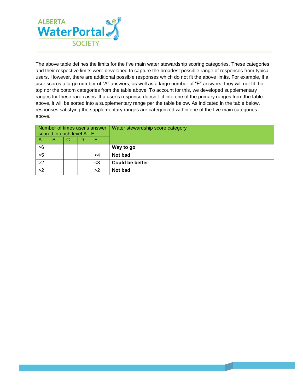

The above table defines the limits for the five main water stewardship scoring categories. These categories and their respective limits were developed to capture the broadest possible range of responses from typical users. However, there are additional possible responses which do not fit the above limits. For example, if a user scores a large number of "A" answers, as well as a large number of "E" answers, they will not fit the top nor the bottom categories from the table above. To account for this, we developed supplementary ranges for these rare cases. If a user's response doesn't fit into one of the primary ranges from the table above, it will be sorted into a supplementary range per the table below. As indicated in the table below, responses satisfying the supplementary ranges are categorized within one of the five main categories above.

| Number of times user's answer<br>scored in each level A - E |  |  | Water stewardship score category |                        |
|-------------------------------------------------------------|--|--|----------------------------------|------------------------|
| в<br>Е<br>G<br>D<br>$\overline{A}$                          |  |  |                                  |                        |
| >6                                                          |  |  |                                  | Way to go              |
| >5                                                          |  |  | <4                               | Not bad                |
| >2                                                          |  |  | $\leq$ 3                         | <b>Could be better</b> |
| >2                                                          |  |  | >2                               | <b>Not bad</b>         |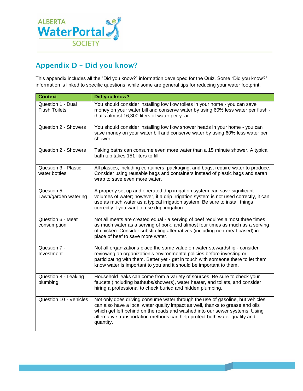

## <span id="page-24-0"></span>Appendix D – Did you know?

This appendix includes all the "Did you know?" information developed for the Quiz. Some "Did you know?" information is linked to specific questions, while some are general tips for reducing your water footprint.

| <b>Context</b>                            | Did you know?                                                                                                                                                                                                                                                                                                                            |
|-------------------------------------------|------------------------------------------------------------------------------------------------------------------------------------------------------------------------------------------------------------------------------------------------------------------------------------------------------------------------------------------|
| Question 1 - Dual<br><b>Flush Toilets</b> | You should consider installing low flow toilets in your home - you can save<br>money on your water bill and conserve water by using 60% less water per flush -<br>that's almost 16,300 liters of water per year.                                                                                                                         |
| Question 2 - Showers                      | You should consider installing low flow shower heads in your home - you can<br>save money on your water bill and conserve water by using 60% less water per<br>shower.                                                                                                                                                                   |
| Question 2 - Showers                      | Taking baths can consume even more water than a 15 minute shower. A typical<br>bath tub takes 151 liters to fill.                                                                                                                                                                                                                        |
| Question 3 - Plastic<br>water bottles     | All plastics, including containers, packaging, and bags, require water to produce.<br>Consider using reusable bags and containers instead of plastic bags and saran<br>wrap to save even more water.                                                                                                                                     |
| Question 5 -<br>Lawn/garden watering      | A properly set up and operated drip irrigation system can save significant<br>volumes of water; however, if a drip irrigation system is not used correctly, it can<br>use as much water as a typical irrigation system. Be sure to install things<br>correctly if you want to use drip irrigation.                                       |
| Question 6 - Meat<br>consumption          | Not all meats are created equal - a serving of beef requires almost three times<br>as much water as a serving of pork, and almost four times as much as a serving<br>of chicken. Consider substituting alternatives (including non-meat based) in<br>place of beef to save more water.                                                   |
| Question 7 -<br>Investment                | Not all organizations place the same value on water stewardship - consider<br>reviewing an organization's environmental policies before investing or<br>participating with them. Better yet - get in touch with someone there to let them<br>know water is important to you and it should be important to them.                          |
| Question 8 - Leaking<br>plumbing          | Household leaks can come from a variety of sources. Be sure to check your<br>faucets (including bathtubs/showers), water heater, and toilets, and consider<br>hiring a professional to check buried and hidden plumbing.                                                                                                                 |
| Question 10 - Vehicles                    | Not only does driving consume water through the use of gasoline, but vehicles<br>can also have a local water quality impact as well, thanks to grease and oils<br>which get left behind on the roads and washed into our sewer systems. Using<br>alternative transportation methods can help protect both water quality and<br>quantity. |